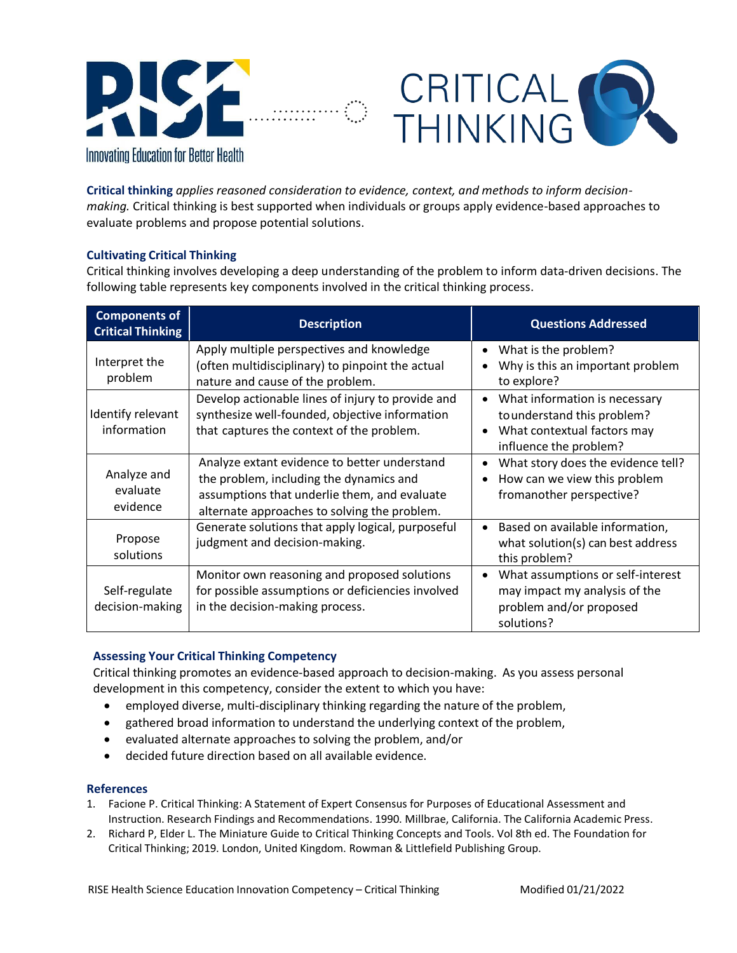

**Critical thinking** *applies reasoned consideration to evidence, context, and methods to inform decisionmaking.* Critical thinking is best supported when individuals or groups apply evidence-based approaches to evaluate problems and propose potential solutions.

CRITICAL

## **Cultivating Critical Thinking**

Critical thinking involves developing a deep understanding of the problem to inform data-driven decisions. The following table represents key components involved in the critical thinking process.

| <b>Components of</b><br><b>Critical Thinking</b> | <b>Description</b>                                                                                                                                                                      | <b>Questions Addressed</b>                                                                                                                      |
|--------------------------------------------------|-----------------------------------------------------------------------------------------------------------------------------------------------------------------------------------------|-------------------------------------------------------------------------------------------------------------------------------------------------|
| Interpret the<br>problem                         | Apply multiple perspectives and knowledge<br>(often multidisciplinary) to pinpoint the actual<br>nature and cause of the problem.                                                       | What is the problem?<br>$\bullet$<br>Why is this an important problem<br>to explore?                                                            |
| Identify relevant<br>information                 | Develop actionable lines of injury to provide and<br>synthesize well-founded, objective information<br>that captures the context of the problem.                                        | What information is necessary<br>$\bullet$<br>to understand this problem?<br>What contextual factors may<br>$\bullet$<br>influence the problem? |
| Analyze and<br>evaluate<br>evidence              | Analyze extant evidence to better understand<br>the problem, including the dynamics and<br>assumptions that underlie them, and evaluate<br>alternate approaches to solving the problem. | What story does the evidence tell?<br>$\bullet$<br>How can we view this problem<br>$\bullet$<br>fromanother perspective?                        |
| Propose<br>solutions                             | Generate solutions that apply logical, purposeful<br>judgment and decision-making.                                                                                                      | Based on available information,<br>$\bullet$<br>what solution(s) can best address<br>this problem?                                              |
| Self-regulate<br>decision-making                 | Monitor own reasoning and proposed solutions<br>for possible assumptions or deficiencies involved<br>in the decision-making process.                                                    | What assumptions or self-interest<br>$\bullet$<br>may impact my analysis of the<br>problem and/or proposed<br>solutions?                        |

## **Assessing Your Critical Thinking Competency**

Critical thinking promotes an evidence-based approach to decision-making. As you assess personal development in this competency, consider the extent to which you have:

- employed diverse, multi-disciplinary thinking regarding the nature of the problem,
- gathered broad information to understand the underlying context of the problem,
- evaluated alternate approaches to solving the problem, and/or
- decided future direction based on all available evidence.

## **References**

- 1. Facione P. Critical Thinking: A Statement of Expert Consensus for Purposes of Educational Assessment and Instruction. Research Findings and Recommendations. 1990. Millbrae, California. The California Academic Press.
- 2. Richard P, Elder L. The Miniature Guide to Critical Thinking Concepts and Tools. Vol 8th ed. The Foundation for Critical Thinking; 2019. London, United Kingdom. Rowman & Littlefield Publishing Group.